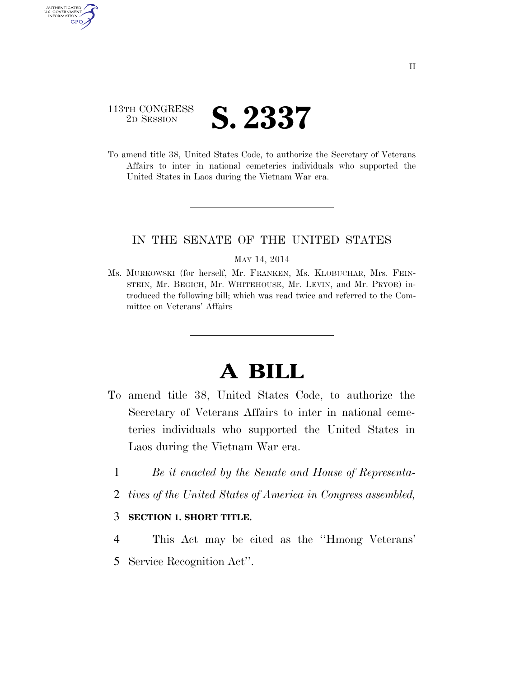# 113TH CONGRESS <sup>2D SESSION</sup> **S. 2337**

AUTHENTICATED U.S. GOVERNMENT **GPO** 

> To amend title 38, United States Code, to authorize the Secretary of Veterans Affairs to inter in national cemeteries individuals who supported the United States in Laos during the Vietnam War era.

## IN THE SENATE OF THE UNITED STATES

#### MAY 14, 2014

Ms. MURKOWSKI (for herself, Mr. FRANKEN, Ms. KLOBUCHAR, Mrs. FEIN-STEIN, Mr. BEGICH, Mr. WHITEHOUSE, Mr. LEVIN, and Mr. PRYOR) introduced the following bill; which was read twice and referred to the Committee on Veterans' Affairs

# **A BILL**

- To amend title 38, United States Code, to authorize the Secretary of Veterans Affairs to inter in national cemeteries individuals who supported the United States in Laos during the Vietnam War era.
	- 1 *Be it enacted by the Senate and House of Representa-*
	- 2 *tives of the United States of America in Congress assembled,*

### 3 **SECTION 1. SHORT TITLE.**

4 This Act may be cited as the ''Hmong Veterans' 5 Service Recognition Act''.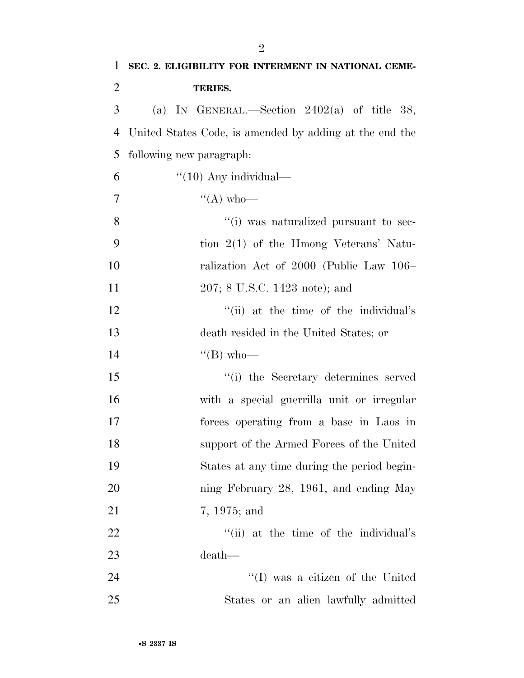| $\mathbf{1}$   | SEC. 2. ELIGIBILITY FOR INTERMENT IN NATIONAL CEME-     |
|----------------|---------------------------------------------------------|
| $\overline{2}$ | <b>TERIES.</b>                                          |
| 3              | (a) IN GENERAL.—Section $2402(a)$ of title 38,          |
| $\overline{4}$ | United States Code, is amended by adding at the end the |
| 5              | following new paragraph:                                |
| 6              | $"(10)$ Any individual—                                 |
| $\tau$         | $\lq\lq (A)$ who—                                       |
| 8              | "(i) was naturalized pursuant to sec-                   |
| 9              | tion $2(1)$ of the Hmong Veterans' Natu-                |
| 10             | ralization Act of 2000 (Public Law 106–                 |
| 11             | 207; 8 U.S.C. 1423 note); and                           |
| 12             | "(ii) at the time of the individual's                   |
| 13             | death resided in the United States; or                  |
| 14             | $\lq\lq (B)$ who—                                       |
| 15             | "(i) the Secretary determines served                    |
| 16             | with a special guerrilla unit or irregular              |
| 17             | forces operating from a base in Laos in                 |
| 18             | support of the Armed Forces of the United               |
| 19             | States at any time during the period begin-             |
| 20             | ning February 28, 1961, and ending May                  |
| 21             | 7, 1975; and                                            |
| 22             | "(ii) at the time of the individual's                   |
| 23             | death—                                                  |
| 24             | $\lq\lq$ was a citizen of the United                    |
| 25             | States or an alien lawfully admitted                    |